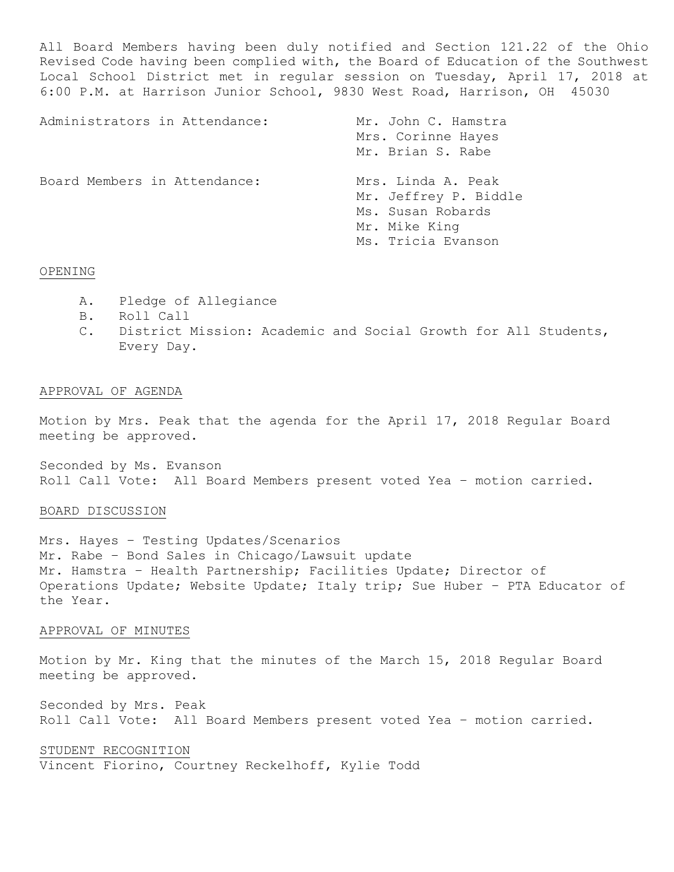All Board Members having been duly notified and Section 121.22 of the Ohio Revised Code having been complied with, the Board of Education of the Southwest Local School District met in regular session on Tuesday, April 17, 2018 at 6:00 P.M. at Harrison Junior School, 9830 West Road, Harrison, OH 45030

| Administrators in Attendance: | Mr. John C. Hamstra<br>Mrs. Corinne Hayes<br>Mr. Brian S. Rabe                                          |
|-------------------------------|---------------------------------------------------------------------------------------------------------|
| Board Members in Attendance:  | Mrs. Linda A. Peak<br>Mr. Jeffrey P. Biddle<br>Ms. Susan Robards<br>Mr. Mike King<br>Ms. Tricia Evanson |

#### OPENING

- A. Pledge of Allegiance
- B. Roll Call
- C. District Mission: Academic and Social Growth for All Students, Every Day.

### APPROVAL OF AGENDA

Motion by Mrs. Peak that the agenda for the April 17, 2018 Regular Board meeting be approved.

Seconded by Ms. Evanson Roll Call Vote: All Board Members present voted Yea – motion carried.

### BOARD DISCUSSION

Mrs. Hayes – Testing Updates/Scenarios Mr. Rabe – Bond Sales in Chicago/Lawsuit update Mr. Hamstra – Health Partnership; Facilities Update; Director of Operations Update; Website Update; Italy trip; Sue Huber – PTA Educator of the Year.

## APPROVAL OF MINUTES

Motion by Mr. King that the minutes of the March 15, 2018 Regular Board meeting be approved.

Seconded by Mrs. Peak Roll Call Vote: All Board Members present voted Yea – motion carried.

STUDENT RECOGNITION Vincent Fiorino, Courtney Reckelhoff, Kylie Todd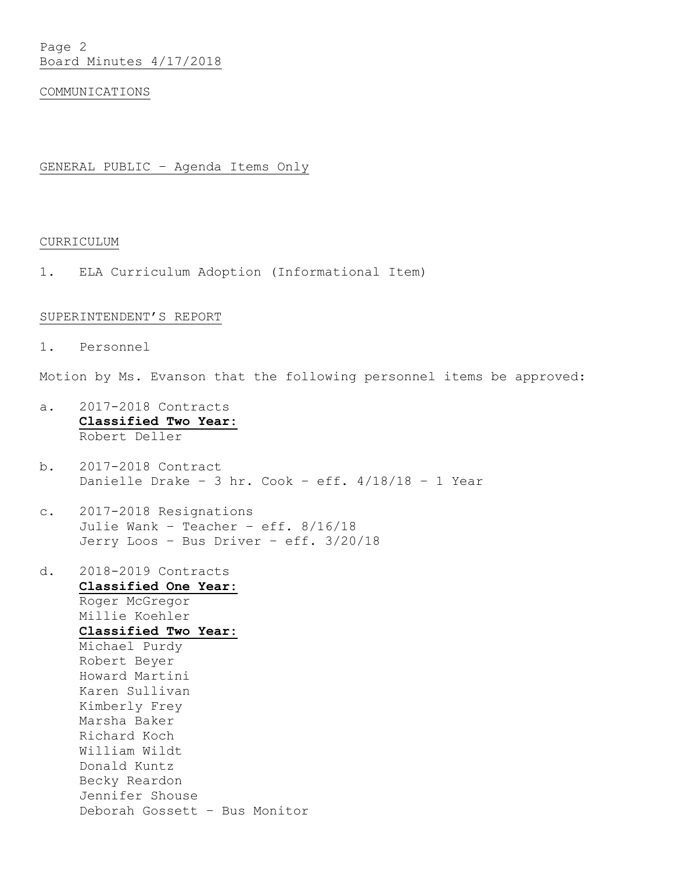Page 2 Board Minutes 4/17/2018

#### COMMUNICATIONS

# GENERAL PUBLIC – Agenda Items Only

# CURRICULUM

1. ELA Curriculum Adoption (Informational Item)

#### SUPERINTENDENT'S REPORT

1. Personnel

Motion by Ms. Evanson that the following personnel items be approved:

- a. 2017-2018 Contracts **Classified Two Year:** Robert Deller
- b. 2017-2018 Contract Danielle Drake - 3 hr. Cook - eff.  $4/18/18$  - 1 Year
- c. 2017-2018 Resignations Julie Wank – Teacher – eff. 8/16/18 Jerry Loos – Bus Driver – eff. 3/20/18
- d. 2018-2019 Contracts **Classified One Year:** Roger McGregor Millie Koehler **Classified Two Year:** Michael Purdy Robert Beyer Howard Martini Karen Sullivan Kimberly Frey Marsha Baker Richard Koch William Wildt Donald Kuntz Becky Reardon Jennifer Shouse Deborah Gossett – Bus Monitor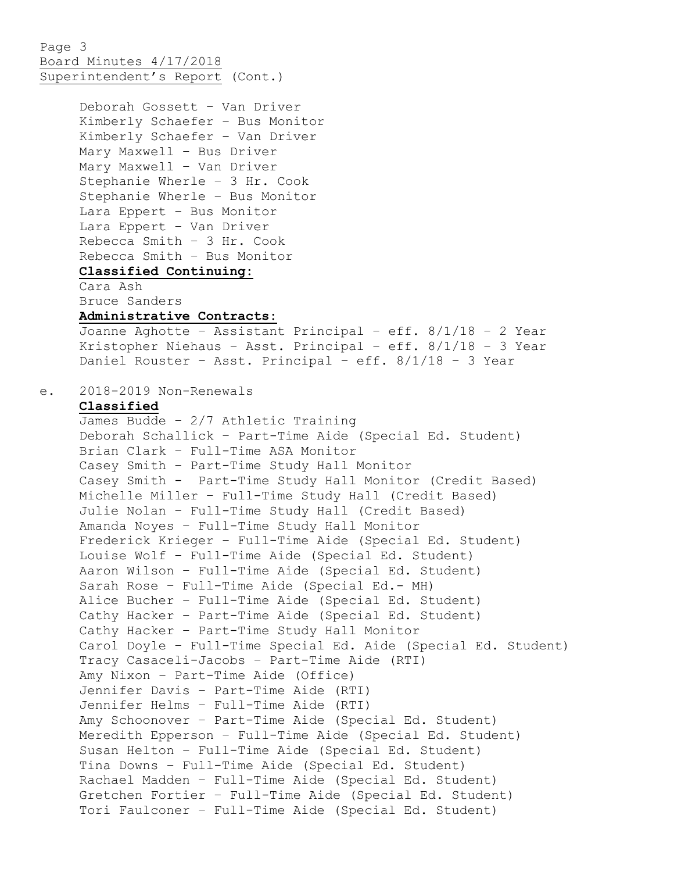Page 3 Board Minutes 4/17/2018 Superintendent's Report (Cont.)

Deborah Gossett – Van Driver Kimberly Schaefer – Bus Monitor Kimberly Schaefer – Van Driver Mary Maxwell – Bus Driver Mary Maxwell – Van Driver Stephanie Wherle – 3 Hr. Cook Stephanie Wherle – Bus Monitor Lara Eppert – Bus Monitor Lara Eppert – Van Driver Rebecca Smith – 3 Hr. Cook Rebecca Smith – Bus Monitor **Classified Continuing:** Cara Ash Bruce Sanders **Administrative Contracts:** Joanne Aghotte – Assistant Principal – eff. 8/1/18 – 2 Year Kristopher Niehaus – Asst. Principal – eff. 8/1/18 – 3 Year Daniel Rouster – Asst. Principal – eff. 8/1/18 – 3 Year e. 2018-2019 Non-Renewals **Classified** James Budde – 2/7 Athletic Training Deborah Schallick – Part-Time Aide (Special Ed. Student) Brian Clark – Full-Time ASA Monitor Casey Smith – Part-Time Study Hall Monitor Casey Smith - Part-Time Study Hall Monitor (Credit Based) Michelle Miller – Full-Time Study Hall (Credit Based) Julie Nolan – Full-Time Study Hall (Credit Based) Amanda Noyes – Full-Time Study Hall Monitor Frederick Krieger – Full-Time Aide (Special Ed. Student) Louise Wolf – Full-Time Aide (Special Ed. Student) Aaron Wilson – Full-Time Aide (Special Ed. Student) Sarah Rose – Full-Time Aide (Special Ed.- MH) Alice Bucher – Full-Time Aide (Special Ed. Student) Cathy Hacker – Part-Time Aide (Special Ed. Student) Cathy Hacker – Part-Time Study Hall Monitor Carol Doyle – Full-Time Special Ed. Aide (Special Ed. Student) Tracy Casaceli-Jacobs – Part-Time Aide (RTI) Amy Nixon – Part-Time Aide (Office) Jennifer Davis – Part-Time Aide (RTI) Jennifer Helms – Full-Time Aide (RTI) Amy Schoonover – Part-Time Aide (Special Ed. Student) Meredith Epperson – Full-Time Aide (Special Ed. Student) Susan Helton – Full-Time Aide (Special Ed. Student) Tina Downs – Full-Time Aide (Special Ed. Student) Rachael Madden – Full-Time Aide (Special Ed. Student) Gretchen Fortier – Full-Time Aide (Special Ed. Student) Tori Faulconer – Full-Time Aide (Special Ed. Student)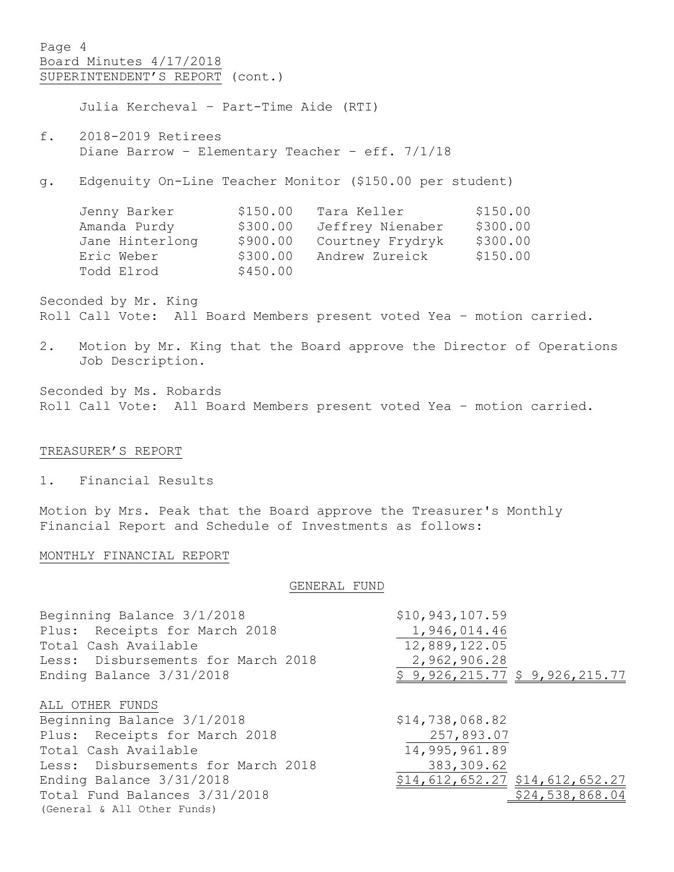Page 4 Board Minutes 4/17/2018 SUPERINTENDENT'S REPORT (cont.)

Julia Kercheval – Part-Time Aide (RTI)

- f. 2018-2019 Retirees Diane Barrow – Elementary Teacher – eff. 7/1/18
- g. Edgenuity On-Line Teacher Monitor (\$150.00 per student)

| Jenny Barker    | \$150.00 | Tara Keller      | \$150.00 |
|-----------------|----------|------------------|----------|
| Amanda Purdy    | \$300.00 | Jeffrey Nienaber | \$300.00 |
| Jane Hinterlong | \$900.00 | Courtney Frydryk | \$300.00 |
| Eric Weber      | \$300.00 | Andrew Zureick   | \$150.00 |
| Todd Elrod      | \$450.00 |                  |          |
|                 |          |                  |          |

Seconded by Mr. King Roll Call Vote: All Board Members present voted Yea – motion carried.

2. Motion by Mr. King that the Board approve the Director of Operations Job Description.

Seconded by Ms. Robards Roll Call Vote: All Board Members present voted Yea – motion carried.

## TREASURER'S REPORT

1. Financial Results

Motion by Mrs. Peak that the Board approve the Treasurer's Monthly Financial Report and Schedule of Investments as follows:

### MONTHLY FINANCIAL REPORT

#### GENERAL FUND

| Beginning Balance 3/1/2018         | \$10,943,107.59                 |
|------------------------------------|---------------------------------|
| Plus: Receipts for March 2018      | 1,946,014.46                    |
| Total Cash Available               | 12,889,122.05                   |
| Less: Disbursements for March 2018 | 2,962,906.28                    |
| Ending Balance 3/31/2018           | \$9,926,215.77 \$9,926,215.77   |
| ALL OTHER FUNDS                    |                                 |
| Beginning Balance 3/1/2018         | \$14,738,068.82                 |
| Plus: Receipts for March 2018      | 257,893.07                      |
| Total Cash Available               | 14,995,961.89                   |
| Less: Disbursements for March 2018 | 383, 309.62                     |
| Ending Balance 3/31/2018           | \$14,612,652.27 \$14,612,652.27 |
| Total Fund Balances 3/31/2018      | \$24,538,868.04                 |
| (General & All Other Funds)        |                                 |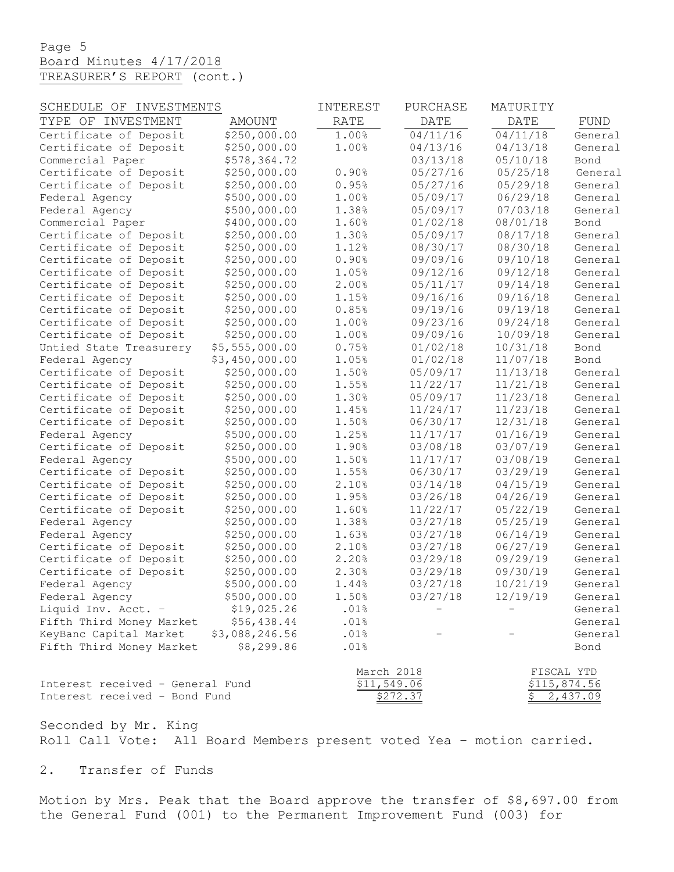# Page 5 Board Minutes 4/17/2018 TREASURER'S REPORT (cont.)

| SCHEDULE OF INVESTMENTS          |                | INTEREST    | PURCHASE    | MATURITY    |              |
|----------------------------------|----------------|-------------|-------------|-------------|--------------|
| TYPE OF INVESTMENT               | AMOUNT         | <b>RATE</b> | <b>DATE</b> | <b>DATE</b> | FUND         |
| Certificate of Deposit           | \$250,000.00   | 1.00%       | 04/11/16    | 04/11/18    | General      |
| Certificate of Deposit           | \$250,000.00   | 1.00%       | 04/13/16    | 04/13/18    | General      |
| Commercial Paper                 | \$578,364.72   |             | 03/13/18    | 05/10/18    | Bond         |
| Certificate of Deposit           | \$250,000.00   | 0.90%       | 05/27/16    | 05/25/18    | General      |
| Certificate of Deposit           | \$250,000.00   | 0.95%       | 05/27/16    | 05/29/18    | General      |
| Federal Agency                   | \$500,000.00   | 1.00%       | 05/09/17    | 06/29/18    | General      |
| Federal Agency                   | \$500,000.00   | 1.38%       | 05/09/17    | 07/03/18    | General      |
| Commercial Paper                 | \$400,000.00   | 1.60%       | 01/02/18    | 08/01/18    | Bond         |
| Certificate of Deposit           | \$250,000.00   | 1.30%       | 05/09/17    | 08/17/18    | General      |
| Certificate of Deposit           | \$250,000.00   | 1.12%       | 08/30/17    | 08/30/18    | General      |
| Certificate of Deposit           | \$250,000.00   | 0.90%       | 09/09/16    | 09/10/18    | General      |
| Certificate of Deposit           | \$250,000.00   | 1.05%       | 09/12/16    | 09/12/18    | General      |
| Certificate of Deposit           | \$250,000.00   | 2.00%       | 05/11/17    | 09/14/18    | General      |
| Certificate of Deposit           | \$250,000.00   | 1.15%       | 09/16/16    | 09/16/18    | General      |
| Certificate of Deposit           | \$250,000.00   | 0.85%       | 09/19/16    | 09/19/18    | General      |
| Certificate of Deposit           | \$250,000.00   | 1.00%       | 09/23/16    | 09/24/18    | General      |
| Certificate of Deposit           | \$250,000.00   | 1.00%       | 09/09/16    | 10/09/18    | General      |
| Untied State Treasurery          | \$5,555,000.00 | 0.75%       | 01/02/18    | 10/31/18    | Bond         |
| Federal Agency                   | \$3,450,000.00 | 1.05%       | 01/02/18    | 11/07/18    | Bond         |
| Certificate of Deposit           | \$250,000.00   | 1.50%       | 05/09/17    | 11/13/18    | General      |
| Certificate of Deposit           | \$250,000.00   | 1.55%       | 11/22/17    | 11/21/18    | General      |
| Certificate of Deposit           | \$250,000.00   | 1.30%       | 05/09/17    | 11/23/18    | General      |
| Certificate of Deposit           | \$250,000.00   | 1.45%       | 11/24/17    | 11/23/18    | General      |
| Certificate of Deposit           | \$250,000.00   | 1.50%       | 06/30/17    | 12/31/18    | General      |
| Federal Agency                   | \$500,000.00   | 1.25%       | 11/17/17    | 01/16/19    | General      |
| Certificate of Deposit           | \$250,000.00   | 1.90%       | 03/08/18    | 03/07/19    | General      |
| Federal Agency                   | \$500,000.00   | 1.50%       | 11/17/17    | 03/08/19    | General      |
| Certificate of Deposit           | \$250,000.00   | 1.55%       | 06/30/17    | 03/29/19    | General      |
| Certificate of Deposit           | \$250,000.00   | 2.10%       | 03/14/18    | 04/15/19    | General      |
| Certificate of Deposit           | \$250,000.00   | 1.95%       | 03/26/18    | 04/26/19    | General      |
| Certificate of Deposit           | \$250,000.00   | 1.60%       | 11/22/17    | 05/22/19    | General      |
| Federal Agency                   | \$250,000.00   | 1.38%       | 03/27/18    | 05/25/19    | General      |
| Federal Agency                   | \$250,000.00   | 1.63%       | 03/27/18    | 06/14/19    | General      |
| Certificate of Deposit           | \$250,000.00   | 2.10%       | 03/27/18    | 06/27/19    | General      |
| Certificate of Deposit           | \$250,000.00   | 2.20%       | 03/29/18    | 09/29/19    | General      |
| Certificate of Deposit           | \$250,000.00   | 2.30%       | 03/29/18    | 09/30/19    | General      |
| Federal Agency                   | \$500,000.00   | 1.44%       | 03/27/18    | 10/21/19    | General      |
| Federal Agency                   | \$500,000.00   | 1.50%       | 03/27/18    | 12/19/19    | General      |
| Liquid Inv. Acct. -              | \$19,025.26    | .01%        |             |             | General      |
| Fifth Third Money Market         | \$56,438.44    | .01%        |             |             | General      |
| KeyBanc Capital Market           | \$3,088,246.56 | .01%        |             |             | General      |
| Fifth Third Money Market         | \$8,299.86     | .01%        |             |             | Bond         |
|                                  |                | March 2018  |             | FISCAL YTD  |              |
| Interest received - General Fund |                | \$11,549.06 |             |             | \$115,874.56 |
| Interest received - Bond Fund    |                |             | \$272.37    | Ş.          | 2,437.09     |

Seconded by Mr. King Roll Call Vote: All Board Members present voted Yea – motion carried.

2. Transfer of Funds

Motion by Mrs. Peak that the Board approve the transfer of \$8,697.00 from the General Fund (001) to the Permanent Improvement Fund (003) for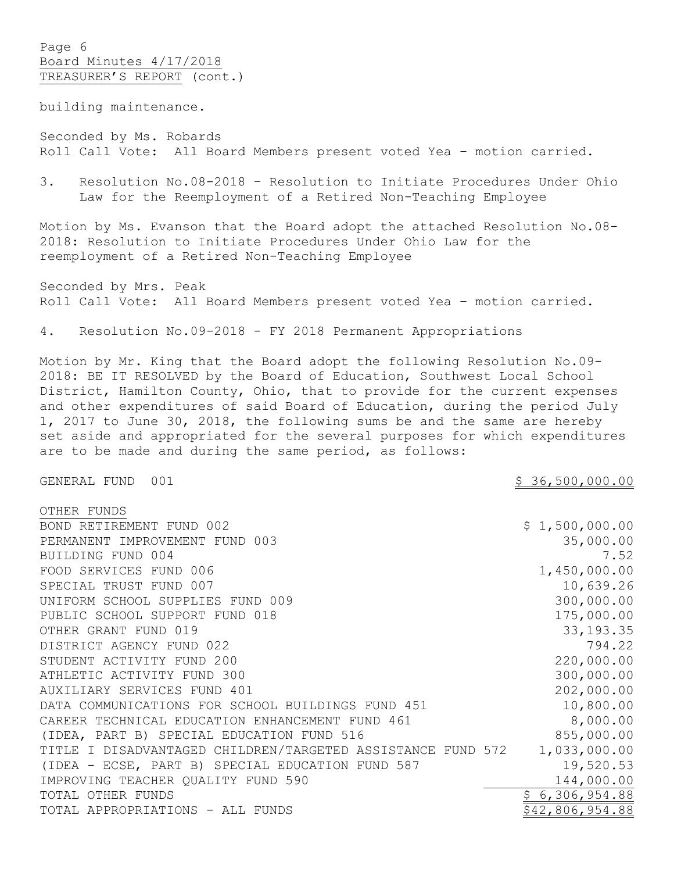Page 6 Board Minutes 4/17/2018 TREASURER'S REPORT (cont.)

building maintenance.

Seconded by Ms. Robards Roll Call Vote: All Board Members present voted Yea – motion carried.

3. Resolution No.08-2018 – Resolution to Initiate Procedures Under Ohio Law for the Reemployment of a Retired Non-Teaching Employee

Motion by Ms. Evanson that the Board adopt the attached Resolution No.08- 2018: Resolution to Initiate Procedures Under Ohio Law for the reemployment of a Retired Non-Teaching Employee

Seconded by Mrs. Peak Roll Call Vote: All Board Members present voted Yea – motion carried.

4. Resolution No.09-2018 - FY 2018 Permanent Appropriations

Motion by Mr. King that the Board adopt the following Resolution No.09- 2018: BE IT RESOLVED by the Board of Education, Southwest Local School District, Hamilton County, Ohio, that to provide for the current expenses and other expenditures of said Board of Education, during the period July 1, 2017 to June 30, 2018, the following sums be and the same are hereby set aside and appropriated for the several purposes for which expenditures are to be made and during the same period, as follows:

GENERAL FUND 001 36,500,000.00

| OTHER FUNDS                                                 |                 |
|-------------------------------------------------------------|-----------------|
| BOND RETIREMENT FUND 002                                    | \$1,500,000.00  |
| PERMANENT IMPROVEMENT FUND 003                              | 35,000.00       |
| BUILDING FUND 004                                           | 7.52            |
| FOOD SERVICES FUND 006                                      | 1,450,000.00    |
| SPECIAL TRUST FUND 007                                      | 10,639.26       |
| UNIFORM SCHOOL SUPPLIES FUND 009                            | 300,000.00      |
| PUBLIC SCHOOL SUPPORT FUND 018                              | 175,000.00      |
| OTHER GRANT FUND 019                                        | 33, 193. 35     |
| DISTRICT AGENCY FUND 022                                    | 794.22          |
| STUDENT ACTIVITY FUND 200                                   | 220,000.00      |
| ATHLETIC ACTIVITY FUND 300                                  | 300,000.00      |
| AUXILIARY SERVICES FUND 401                                 | 202,000.00      |
| DATA COMMUNICATIONS FOR SCHOOL BUILDINGS FUND 451           | 10,800.00       |
| CAREER TECHNICAL EDUCATION ENHANCEMENT FUND 461             | 8,000.00        |
| (IDEA, PART B) SPECIAL EDUCATION FUND 516                   | 855,000.00      |
| TITLE I DISADVANTAGED CHILDREN/TARGETED ASSISTANCE FUND 572 | 1,033,000.00    |
| (IDEA - ECSE, PART B) SPECIAL EDUCATION FUND 587            | 19,520.53       |
| IMPROVING TEACHER QUALITY FUND 590                          | 144,000.00      |
| TOTAL OTHER FUNDS                                           | 6,306,954.88    |
| TOTAL APPROPRIATIONS - ALL FUNDS                            | \$42,806,954.88 |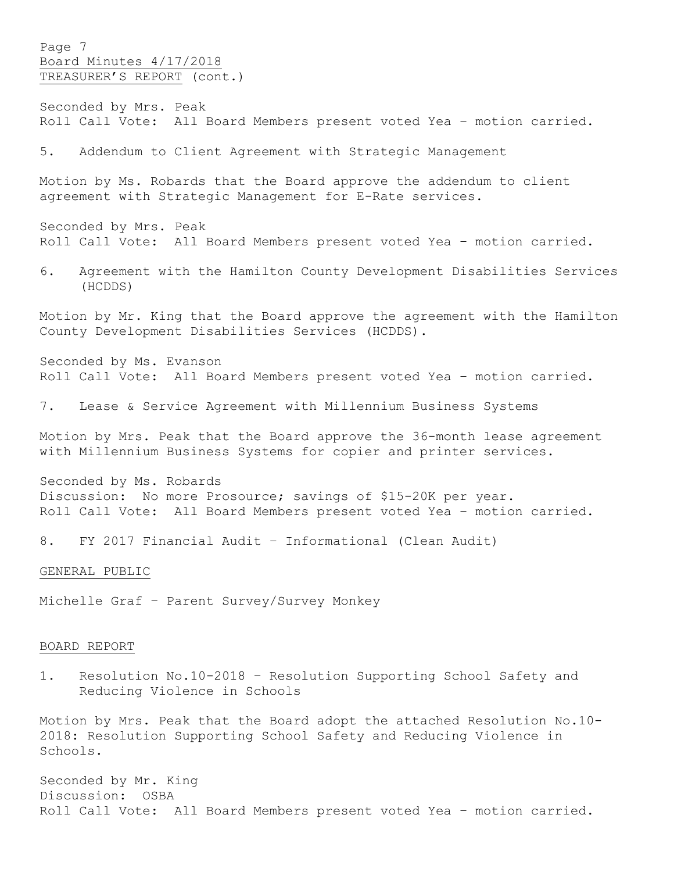Page 7 Board Minutes 4/17/2018 TREASURER'S REPORT (cont.)

Seconded by Mrs. Peak Roll Call Vote: All Board Members present voted Yea – motion carried.

5. Addendum to Client Agreement with Strategic Management

Motion by Ms. Robards that the Board approve the addendum to client agreement with Strategic Management for E-Rate services.

Seconded by Mrs. Peak Roll Call Vote: All Board Members present voted Yea – motion carried.

6. Agreement with the Hamilton County Development Disabilities Services (HCDDS)

Motion by Mr. King that the Board approve the agreement with the Hamilton County Development Disabilities Services (HCDDS).

Seconded by Ms. Evanson Roll Call Vote: All Board Members present voted Yea – motion carried.

7. Lease & Service Agreement with Millennium Business Systems

Motion by Mrs. Peak that the Board approve the 36-month lease agreement with Millennium Business Systems for copier and printer services.

Seconded by Ms. Robards Discussion: No more Prosource; savings of \$15-20K per year. Roll Call Vote: All Board Members present voted Yea – motion carried.

8. FY 2017 Financial Audit – Informational (Clean Audit)

#### GENERAL PUBLIC

Michelle Graf – Parent Survey/Survey Monkey

#### BOARD REPORT

1. Resolution No.10-2018 – Resolution Supporting School Safety and Reducing Violence in Schools

Motion by Mrs. Peak that the Board adopt the attached Resolution No.10- 2018: Resolution Supporting School Safety and Reducing Violence in Schools.

Seconded by Mr. King Discussion: OSBA Roll Call Vote: All Board Members present voted Yea – motion carried.